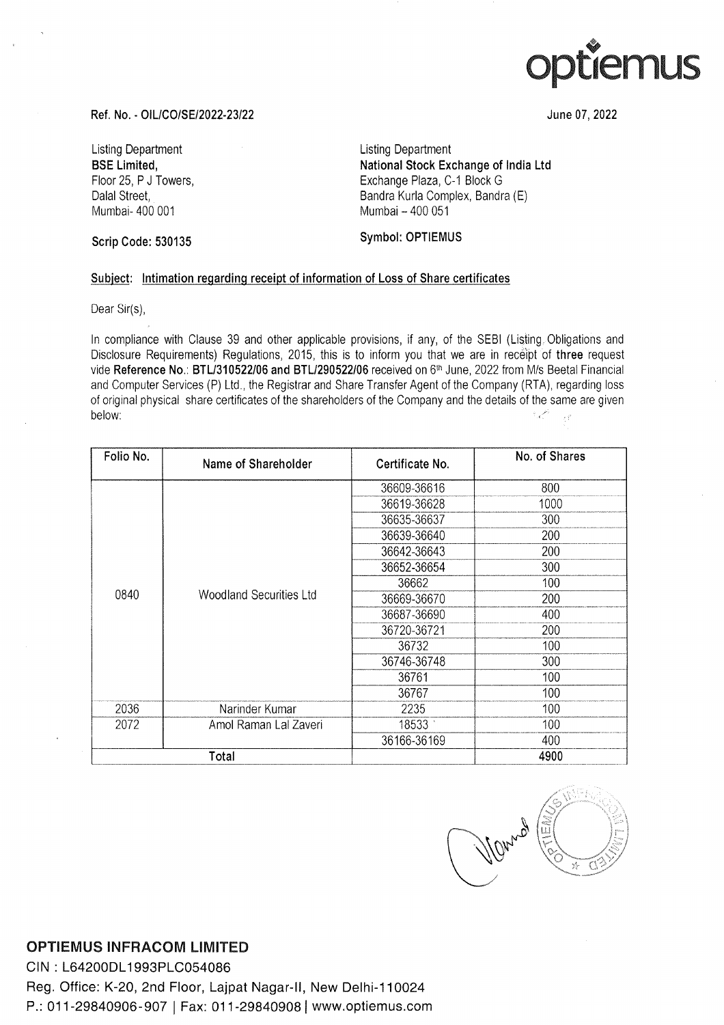

June 07, 2022

Ref. No. - OIL/CO/SE/2022-23/22

Listing Department BSE Limited, Floor 25, P J Towers, Dalal Street, Mumbai- 400 001

Listing Department National Stock Exchange of India Ltd Exchange Plaza, C-1 Block G Bandra Kurla Complex, Bandra (E) Mumbai — 400 051

## Symbol: OPTIEMUS

## Subject: Intimation regarding receipt of information of Loss of Share certificates

Ref. No. - OIL/CO/SE/2022-23/22<br>Listing Department<br>BSE Limited,<br>Floor 25, P J Towers,<br>Dalal Street,<br>Mumbai- 400 001<br>Scrip Code: 530135<br>Subject: Intimation regarding receipt of information<br>Dear Sir(s),<br>In compliance with Cl Ref. No. - OIL/CO/SE/2022-23/22<br>
Listing Department<br>
BSE Limited,<br>
Floor 25, P J Towers,<br>
Dalal Street,<br>
Mumbai- 400 001<br>
Scrip Code: 530135<br>
Subject: Intimation regarding receipt of information<br>
Dear Sir(s),<br>
In complianc Symbol: OPTIEMUS<br>
on of Loss of Share certific<br>
provisions, if any, of the SE<br>
to inform you that we are<br>
2/06 received on 6<sup>th</sup> June, 20:<br>
are Transfer Agent of the Cor<br>
ers of the Company and the c<br>
Certificate No.<br>
3660 on of Loss of Share certific<br>provisions, if any, of the SE<br>to inform you that we are<br>2/06 received on 6<sup>th</sup> June, 20:<br>are Transfer Agent of the Cor<br>ers of the Company and the of<br>Certificate No.<br>36609-36616<br>36619-36628 on of Loss of Share certific<br>provisions, if any, of the SE<br>to inform you that we are<br>2.06 received on 6<sup>th</sup> June, 20:<br>are Transfer Agent of the Cor<br>ers of the Company and the c<br>**Certificate No.**<br>36609-36616<br>36619-36628<br>366 In compliance with Clause 39 and other applicable provisions, if any, of the SEBI (Listing. Obligations and Disclosure Requirements) Regulations, 2015, this is to inform you that we are in receipt of three request vide Reference No.: BTL/310522/06 and BTL/290522/06 received on 6" June, 2022 from M/s Beetal Financial and Computer Services (P) Ltd., the Registrar and Share Transfer Agent of the Company (RTA), regarding loss of original physical share certificates of the shareholders of the Company and the details of the same are given  $\bar{\mathcal{F}}^{\bar{\mathcal{F}}}$ below: ;

| יישע דיוויונייי<br>Floor 25, P J Towers,<br>Dalal Street,<br>Mumbai- 400 001 |                                                                                                                                                                                                                                                                                                                                                                                                                                                                                                                                                                        | nauvilai oloon Exonaliye or illula Etu<br>Exchange Plaza, C-1 Block G<br>Bandra Kurla Complex, Bandra (E)<br>Mumbai - 400 051 |                                |
|------------------------------------------------------------------------------|------------------------------------------------------------------------------------------------------------------------------------------------------------------------------------------------------------------------------------------------------------------------------------------------------------------------------------------------------------------------------------------------------------------------------------------------------------------------------------------------------------------------------------------------------------------------|-------------------------------------------------------------------------------------------------------------------------------|--------------------------------|
| <b>Scrip Code: 530135</b>                                                    |                                                                                                                                                                                                                                                                                                                                                                                                                                                                                                                                                                        | Symbol: OPTIEMUS                                                                                                              |                                |
|                                                                              | Subject: Intimation regarding receipt of information of Loss of Share certificates                                                                                                                                                                                                                                                                                                                                                                                                                                                                                     |                                                                                                                               |                                |
| Dear Sir(s),                                                                 |                                                                                                                                                                                                                                                                                                                                                                                                                                                                                                                                                                        |                                                                                                                               |                                |
| below:                                                                       | In compliance with Clause 39 and other applicable provisions, if any, of the SEBI (Listing Obligations and<br>Disclosure Requirements) Regulations, 2015, this is to inform you that we are in receipt of three request<br>vide Reference No.: BTL/310522/06 and BTL/290522/06 received on 6th June, 2022 from M/s Beetal Financial<br>and Computer Services (P) Ltd., the Registrar and Share Transfer Agent of the Company (RTA), regarding loss<br>of original physical share certificates of the shareholders of the Company and the details of the same are given |                                                                                                                               | فللمجرد<br>$\epsilon$ $\beta'$ |
| Folio No.                                                                    | Name of Shareholder                                                                                                                                                                                                                                                                                                                                                                                                                                                                                                                                                    | Certificate No.                                                                                                               | No. of Shares                  |
|                                                                              | <b>Woodland Securities Ltd</b>                                                                                                                                                                                                                                                                                                                                                                                                                                                                                                                                         | 36609-36616                                                                                                                   | 800                            |
|                                                                              |                                                                                                                                                                                                                                                                                                                                                                                                                                                                                                                                                                        | 36619-36628                                                                                                                   | 1000                           |
|                                                                              |                                                                                                                                                                                                                                                                                                                                                                                                                                                                                                                                                                        | 36635-36637                                                                                                                   | 300                            |
|                                                                              |                                                                                                                                                                                                                                                                                                                                                                                                                                                                                                                                                                        | 36639-36640                                                                                                                   | 200                            |
|                                                                              |                                                                                                                                                                                                                                                                                                                                                                                                                                                                                                                                                                        | 36642-36643                                                                                                                   | 200                            |
|                                                                              |                                                                                                                                                                                                                                                                                                                                                                                                                                                                                                                                                                        | 36652-36654                                                                                                                   | 300                            |
|                                                                              |                                                                                                                                                                                                                                                                                                                                                                                                                                                                                                                                                                        | 36662                                                                                                                         | 100                            |
| 0840                                                                         |                                                                                                                                                                                                                                                                                                                                                                                                                                                                                                                                                                        | 36669-36670                                                                                                                   | 200                            |
|                                                                              |                                                                                                                                                                                                                                                                                                                                                                                                                                                                                                                                                                        | 36687-36690                                                                                                                   | 400                            |
|                                                                              |                                                                                                                                                                                                                                                                                                                                                                                                                                                                                                                                                                        | 36720-36721                                                                                                                   | 200                            |
|                                                                              |                                                                                                                                                                                                                                                                                                                                                                                                                                                                                                                                                                        | 36732                                                                                                                         | 100                            |
|                                                                              |                                                                                                                                                                                                                                                                                                                                                                                                                                                                                                                                                                        | 36746-36748                                                                                                                   | 300                            |
|                                                                              |                                                                                                                                                                                                                                                                                                                                                                                                                                                                                                                                                                        | 36761                                                                                                                         | 100                            |
|                                                                              |                                                                                                                                                                                                                                                                                                                                                                                                                                                                                                                                                                        | 36767                                                                                                                         | 100                            |
| 2036                                                                         | Narinder Kumar                                                                                                                                                                                                                                                                                                                                                                                                                                                                                                                                                         | 2235                                                                                                                          | 100                            |
| 2072                                                                         | Amol Raman Lal Zaveri                                                                                                                                                                                                                                                                                                                                                                                                                                                                                                                                                  | 18533                                                                                                                         | 100                            |
|                                                                              |                                                                                                                                                                                                                                                                                                                                                                                                                                                                                                                                                                        | 36166-36169                                                                                                                   | 400                            |
| Total                                                                        |                                                                                                                                                                                                                                                                                                                                                                                                                                                                                                                                                                        |                                                                                                                               | 4900                           |

VORNA E

## OPTIEMUS INFRACOM LIMITED

CIN : L64200DL1993PLC054086

OPTIEMUS INFRACOM LIMITED<br>CIN : L64200DL1993PLC054086<br>Reg. Office: K-20, 2nd Floor, Lajpat Nagar-II, New Delhi-110024<br>P.: 011-29840906-907 | Fax: 011-29840908| www.optiemus.com P.: 011-29840906-907 | Fax: 011-29840908 | www.optiemus.com